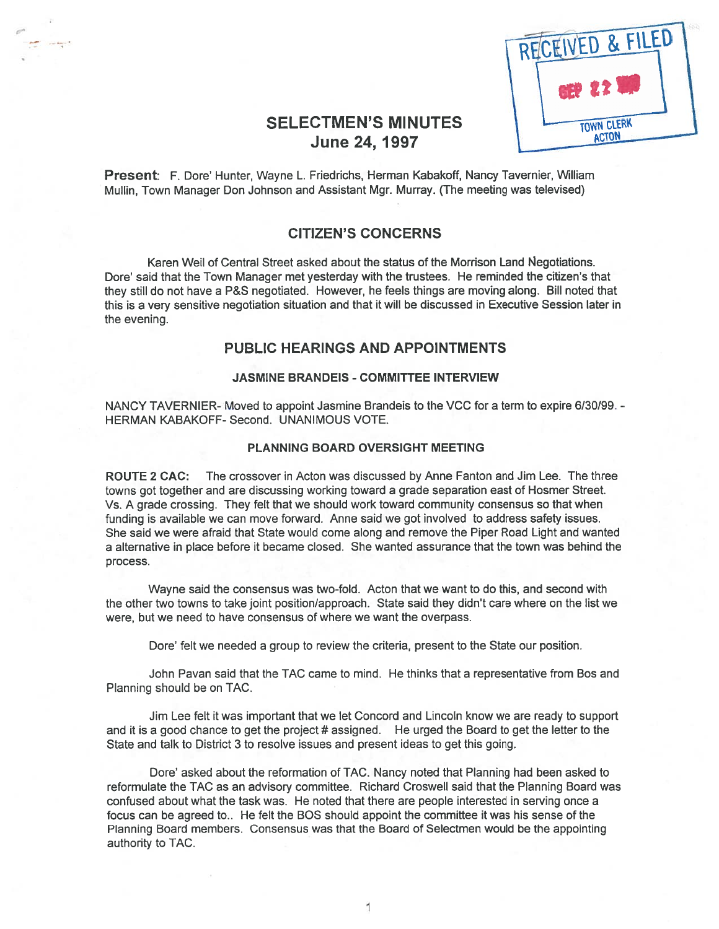

# SELECTMEN'S MINUTES June 24, 1997

Present: F. Dore' Hunter, Wayne L. Friedrichs, Herman Kabakoff, Nancy Tavernier, William Mullin, Town Manager Don Johnson and Assistant Mgr. Murray. (The meeting was televised)

### CITIZEN'S CONCERNS

Karen Weil of Central Street asked about the status of the Morrison Land Negotiations. Dore' said that the Town Manager met yesterday with the trustees. He reminded the citizen's that they still do not have <sup>a</sup> P&S negotiated. However, he feels things are moving along. Bill noted that this is <sup>a</sup> very sensitive negotiation situation and that it will be discussed in Executive Session later in the evening.

### PUBLIC HEARINGS AND APPOINTMENTS

#### JASMINE BRANDEIS - COMMITTEE INTERVIEW

NANCY TAVERNIER- Moved to appoint Jasmine Brandeis to the VCC for a term to expire 6/30/99. -HERMAN KABAKOFF- Second. UNANIMOUS VOTE.

#### PLANNING BOARD OVERSIGHT MEETING

ROUTE 2 CAC: The crossover in Acton was discussed by Anne Fanton and Jim Lee. The three towns go<sup>t</sup> together and are discussing working toward <sup>a</sup> grade separation east of Hosmer Street. Vs. A grade crossing. They felt that we should work toward community consensus so that when funding is available we can move forward. Anne said we go<sup>t</sup> involved to address safety issues. She said we were afraid that State would come along and remove the Piper Road Light and wanted <sup>a</sup> alternative in place before it became closed. She wanted assurance that the town was behind the process.

Wayne said the consensus was two-fold. Acton that we want to do this, and second with the other two towns to take joint position/approach. State said they didn't care where on the list we were, but we need to have consensus of where we want the overpass.

Dore' felt we needed <sup>a</sup> group to review the criteria, presen<sup>t</sup> to the State our position.

John Pavan said that the TAC came to mind. He thinks that <sup>a</sup> representative from Bos and Planning should be on TAC.

Jim Lee felt it was important that we let Concord and Lincoln know we are ready to suppor<sup>t</sup> and it is a good chance to get the project # assigned. He urged the Board to get the letter to the State and talk to District 3 to resolve issues and presen<sup>t</sup> ideas to ge<sup>t</sup> this going.

Dore' asked about the reformation of TAC. Nancy noted that Planning had been asked to reformulate the TAC as an advisory committee. Richard Croswell said that the Planning Board was confused about what the task was. He noted that there are people interested in serving once <sup>a</sup> focus can be agreed to.. He felt the BOS should appoint the committee it was his sense of the Planning Board members. Consensus was that the Board of Selectmen would be the appointing authority to TAC.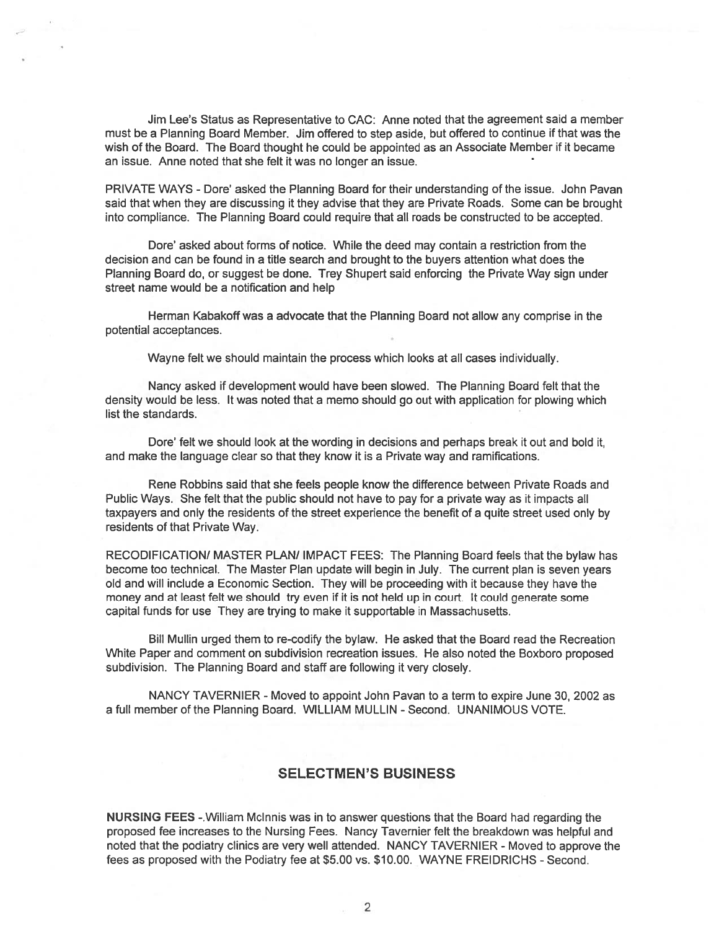Jim Lee's Status as Representative to CAC: Anne noted that the agreemen<sup>t</sup> said <sup>a</sup> member must be <sup>a</sup> Planning Board Member. Jim offered to step aside, but offered to continue if that was the wish of the Board. The Board thought he could be appointed as an Associate Member if it became an issue. Anne noted that she felt it was no longer an issue.

PRIVATE WAYS - Dore' asked the Planning Board for their understanding of the issue. John Pavan said that when they are discussing it they advise that they are Private Roads. Some can be brought into compliance. The Planning Board could require that all roads be constructed to be accepted.

Dore' asked about forms of notice. While the deed may contain <sup>a</sup> restriction from the decision and can be found in <sup>a</sup> title search and brought to the buyers attention what does the Planning Board do, or sugges<sup>t</sup> be done. Trey Shupert said enforcing the Private Way sign under street name would be <sup>a</sup> notification and help

Herman Kabakoff was <sup>a</sup> advocate that the Planning Board not allow any comprise in the potential acceptances.

Wayne felt we should maintain the process which looks at all cases individually.

Nancy asked if development would have been slowed. The Planning Board felt that the density would be less. It was noted that <sup>a</sup> memo should go out with application for plowing which list the standards.

Dore' felt we should look at the wording in decisions and perhaps break it out and bold it, and make the language clear so that they know it is <sup>a</sup> Private way and ramifications.

Rene Robbins said that she feels people know the difference between Private Roads and Public Ways. She felt that the public should not have to pay for <sup>a</sup> private way as it impacts all taxpayers and only the residents of the street experience the benefit of <sup>a</sup> quite street used only by residents of that Private Way.

RECODIFICATION/ MASTER PLAN/ IMPACT FEES: The Planning Board feels that the bylaw has become too technical. The Master Plan update will begin in July. The current plan is seven years old and will include <sup>a</sup> Economic Section. They will be proceeding with it because they have the money and at least felt we should try even if it is not held up in court. It could generate some capital funds for use They are trying to make it supportable in Massachusetts.

Bill Mullin urged them to re-codify the bylaw. He asked that the Board read the Recreation White Paper and comment on subdivision recreation issues. He also noted the Boxboro proposed subdivision. The Planning Board and staff are following it very closely.

NANCY TAVERNIER - Moved to appoint John Pavan to a term to expire June 30, 2002 as a full member of the Planning Board. WILLIAM MULLIN - Second. UNANIMOUS VOTE.

### SELECTMEN'S BUSINESS

NURSING FEES -.William Mclnnis was in to answer questions that the Board had regarding the proposed fee increases to the Nursing Fees. Nancy Tavernier felt the breakdown was helpful and noted that the podiatry clinics are very well attended. NANCY TAVERNIER - Moved to approve the fees as proposed with the Podiatry fee at \$5.00 vs. \$10.00. WAYNE FREIDRICHS - Second.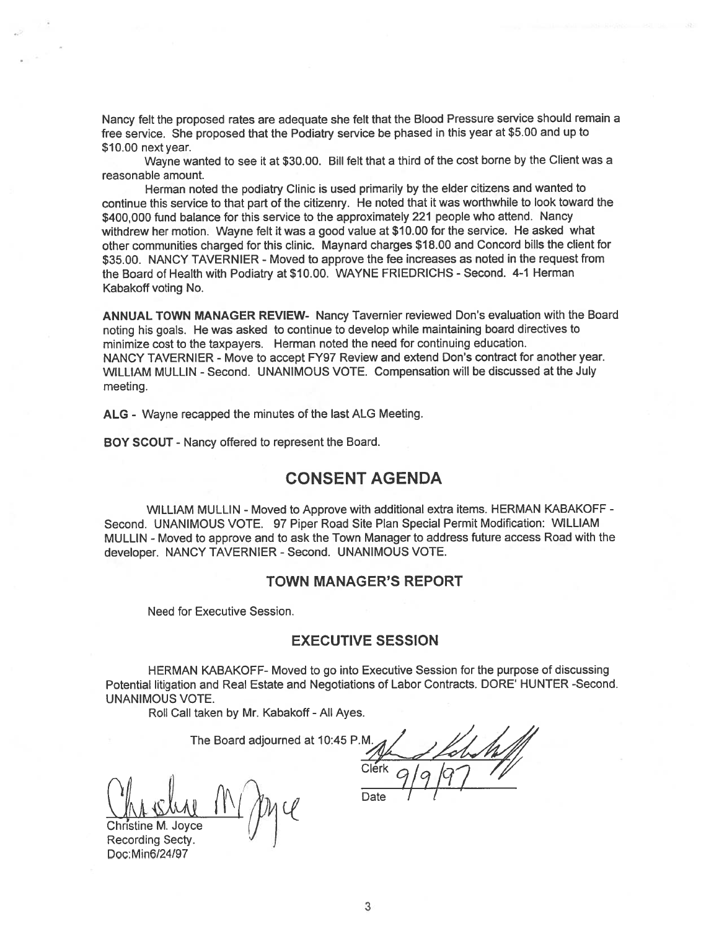Nancy felt the propose<sup>d</sup> rates are adequate she felt that the Blood Pressure service should remain <sup>a</sup> free service. She propose<sup>d</sup> that the Podiatry service be <sup>p</sup>hased in this year at \$5.00 and up to \$10.00 next year.

Wayne wanted to see it at \$30.00. Bill felt that <sup>a</sup> third of the cost borne by the Client was <sup>a</sup> reasonable amount.

Herman noted the podiatry Clinic is used primarily by the elder citizens and wanted to continue this service to that par<sup>t</sup> of the citizenry. He noted that it was worthwhile to look toward the \$400,000 fund balance for this service to the approximately 221 people who attend. Nancy withdrew her motion. Wayne felt it was <sup>a</sup> good value at \$10.00 for the service. He asked what other communities charged for this clinic. Maynard charges \$18.00 and Concord bills the client for \$35.00. NANCY TAVERNIER - Moved to approve the fee increases as noted in the request from the Board of Health with Podiatry at \$10.00. WAYNE FRIEDRICHS - Second. 4-1 Herman Kabakoff voting No.

ANNUAL TOWN MANAGER REVIEW- Nancy Tavernier reviewed Don's evaluation with the Board noting his goals. He was asked to continue to develop while maintaining board directives to minimize cost to the taxpayers. Herman noted the need for continuing education. NANCY TAVERNIER - Move to accept FY97 Review and extend Don's contract for another year. WILLIAM MULLIN -Second. UNANIMOUS VOTE. Compensation will be discussed at the July meeting.

ALG - Wayne recapped the minutes of the last ALG Meeting.

BOY SCOUT - Nancy offered to represen<sup>t</sup> the Board.

### CONSENT AGENDA

WILLIAM MULLIN - Moved to Approve with additional extra items. HERMAN KABAKOFF -Second. UNANIMOUS VOTE. 97 Piper Road Site Plan Special Permit Modification: WILLIAM MULLIN -Moved to approve and to ask the Town Manager to address future access Road with the developer. NANCY TAVERNIER -Second. UNANIMOUS VOTE.

#### TOWN MANAGER'S REPORT

Need for Executive Session.

#### EXECUTIVE SESSION

HERMAN KABAKOFF- Moved to go into Executive Session for the purpose of discussing Potential litigation and Real Estate and Negotiations of Labor Contracts. DORE' HUNTER -Second. UNANIMOUS VOTE.

Roll Call taken by Mr. Kabakoff - All Ayes.

The Board adjourned at 10:45 P.M.

Christine M. Joyce Recording Secty. Doc: Min6/24/97

Clérk

Date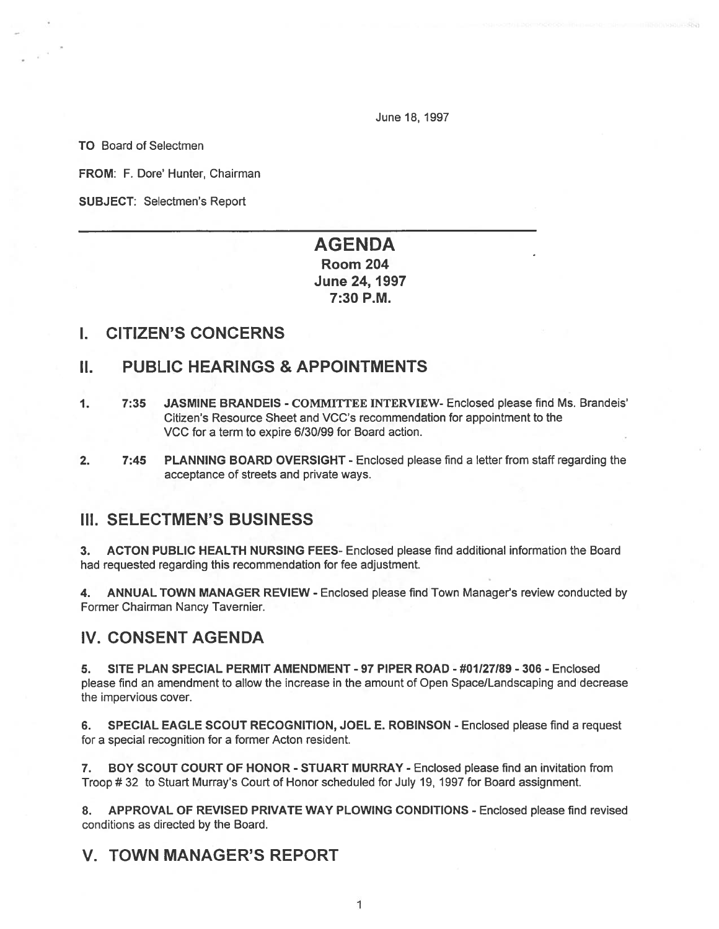June 18, 1997

TO Board of Selectmen

FROM: F. Dore' Hunter, Chairman

SUBJECT: Selectmen's Report

# AGENDA Room 204

June 24, 1997 7:30 P.M.

## I. CITIZEN'S CONCERNS

# II. PUBLIC HEARINGS & APPOINTMENTS

- 1. 7:35 JASMINE BRANDEIS COMMITTEE INTERVIEW- Enclosed please find Ms. Brandeis' Citizen's Resource Sheet and VCC's recommendation for appointment to the VCC for <sup>a</sup> term to expire 6/30/99 for Board action.
- 2. 7:45 PLANNING BOARD OVERSIGHT Enclosed please find a letter from staff regarding the acceptance of streets and private ways.

# III. SELECTMEN'S BUSINESS

3. ACTON PUBLIC HEALTH NURSING FEES- Enclosed please find additional information the Board had requested regarding this recommendation for fee adjustment.

4. ANNUAL TOWN MANAGER REVIEW - Enclosed please find Town Manager's review conducted by Former Chairman Nancy Tavernier.

# IV. CONSENT AGENDA

5. SITE PLAN SPECIAL PERMIT AMENDMENT -97 PIPER ROAD - #01127189 - 306 - Enclosed please find an amendment to allow the increase in the amount of Open Space/Landscaping and decrease the impervious cover.

6. SPECIAL EAGLE SCOUT RECOGNITION, JOEL E. ROBINSON - Enclosed please find <sup>a</sup> reques<sup>t</sup> for <sup>a</sup> special recognition for <sup>a</sup> former Acton resident.

7. BOY SCOUT COURT OF HONOR - STUART MURRAY - Enclosed please find an invitation from Troop #32 to Stuart Murray's Court of Honor scheduled for July 19, 1997 for Board assignment.

APPROVAL OF REVISED PRIVATE WAY PLOWING CONDITIONS - Enclosed please find revised conditions as directed by the Board.

# V. TOWN MANAGER'S REPORT